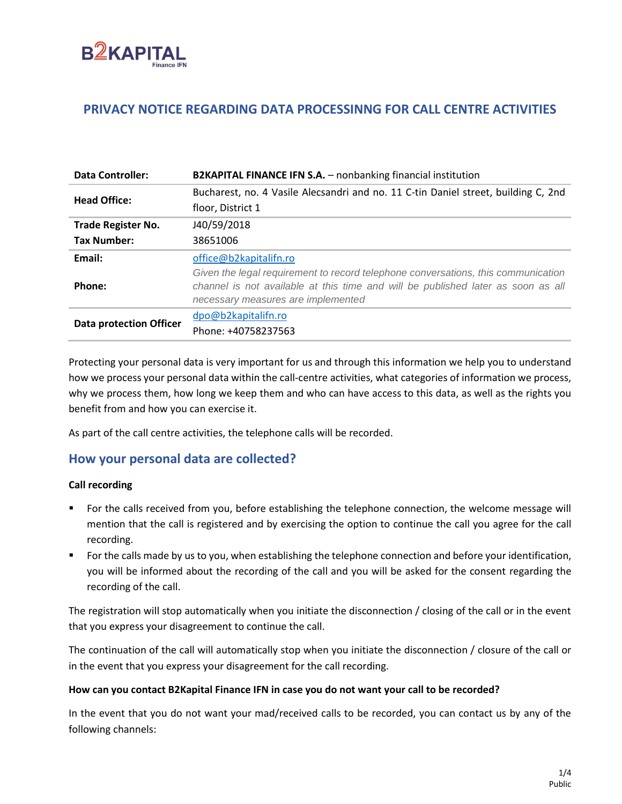

## **PRIVACY NOTICE REGARDING DATA PROCESSINNG FOR CALL CENTRE ACTIVITIES**

| <b>Data Controller:</b>        | <b>B2KAPITAL FINANCE IFN S.A.</b> - nonbanking financial institution               |
|--------------------------------|------------------------------------------------------------------------------------|
| <b>Head Office:</b>            | Bucharest, no. 4 Vasile Alecsandri and no. 11 C-tin Daniel street, building C, 2nd |
|                                | floor, District 1                                                                  |
| <b>Trade Register No.</b>      | J40/59/2018                                                                        |
| Tax Number:                    | 38651006                                                                           |
| Email:                         | office@b2kapitalifn.ro                                                             |
|                                | Given the legal requirement to record telephone conversations, this communication  |
| Phone:                         | channel is not available at this time and will be published later as soon as all   |
|                                | necessary measures are implemented                                                 |
| <b>Data protection Officer</b> | dpo@b2kapitalifn.ro                                                                |
|                                | Phone: +40758237563                                                                |

Protecting your personal data is very important for us and through this information we help you to understand how we process your personal data within the call-centre activities, what categories of information we process, why we process them, how long we keep them and who can have access to this data, as well as the rights you benefit from and how you can exercise it.

As part of the call centre activities, the telephone calls will be recorded.

## **How your personal data are collected?**

#### **Call recording**

- For the calls received from you, before establishing the telephone connection, the welcome message will mention that the call is registered and by exercising the option to continue the call you agree for the call recording.
- For the calls made by us to you, when establishing the telephone connection and before your identification, you will be informed about the recording of the call and you will be asked for the consent regarding the recording of the call.

The registration will stop automatically when you initiate the disconnection / closing of the call or in the event that you express your disagreement to continue the call.

The continuation of the call will automatically stop when you initiate the disconnection / closure of the call or in the event that you express your disagreement for the call recording.

#### **How can you contact B2Kapital Finance IFN in case you do not want your call to be recorded?**

In the event that you do not want your mad/received calls to be recorded, you can contact us by any of the following channels: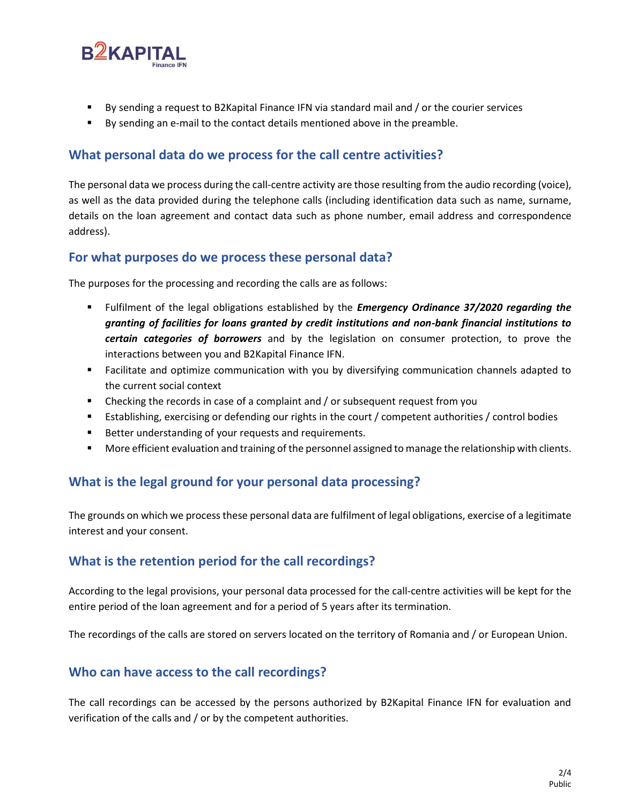

- By sending a request to B2Kapital Finance IFN via standard mail and / or the courier services
- By sending an e-mail to the contact details mentioned above in the preamble.

## **What personal data do we process for the call centre activities?**

The personal data we process during the call-centre activity are those resulting from the audio recording (voice), as well as the data provided during the telephone calls (including identification data such as name, surname, details on the loan agreement and contact data such as phone number, email address and correspondence address).

#### **For what purposes do we process these personal data?**

The purposes for the processing and recording the calls are as follows:

- Fulfilment of the legal obligations established by the *Emergency Ordinance 37/2020 regarding the granting of facilities for loans granted by credit institutions and non-bank financial institutions to certain categories of borrowers* and by the legislation on consumer protection, to prove the interactions between you and B2Kapital Finance IFN.
- Facilitate and optimize communication with you by diversifying communication channels adapted to the current social context
- **EXEC** Checking the records in case of a complaint and / or subsequent request from you
- Establishing, exercising or defending our rights in the court / competent authorities / control bodies
- Better understanding of your requests and requirements.
- More efficient evaluation and training of the personnel assigned to manage the relationship with clients.

# **What is the legal ground for your personal data processing?**

The grounds on which we process these personal data are fulfilment of legal obligations, exercise of a legitimate interest and your consent.

## **What is the retention period for the call recordings?**

According to the legal provisions, your personal data processed for the call-centre activities will be kept for the entire period of the loan agreement and for a period of 5 years after its termination.

The recordings of the calls are stored on servers located on the territory of Romania and / or European Union.

## **Who can have access to the call recordings?**

The call recordings can be accessed by the persons authorized by B2Kapital Finance IFN for evaluation and verification of the calls and / or by the competent authorities.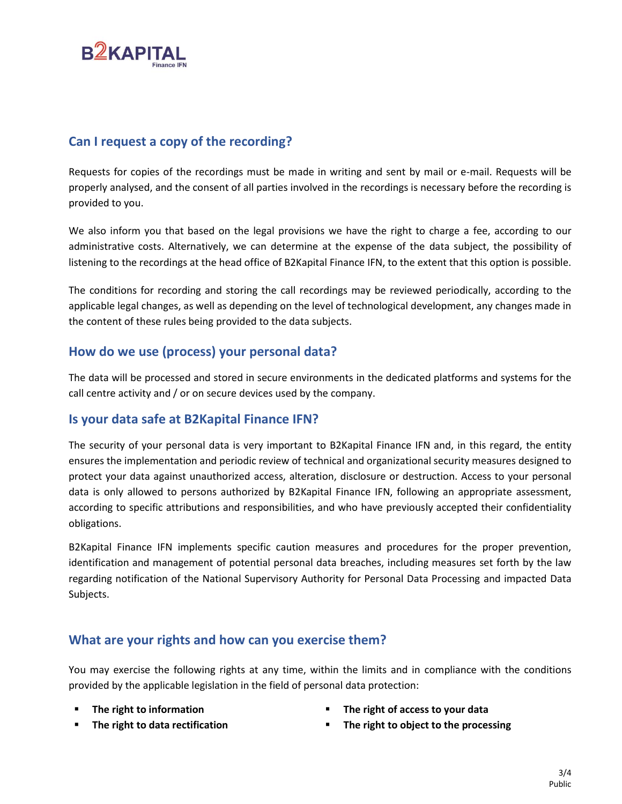

## **Can I request a copy of the recording?**

Requests for copies of the recordings must be made in writing and sent by mail or e-mail. Requests will be properly analysed, and the consent of all parties involved in the recordings is necessary before the recording is provided to you.

We also inform you that based on the legal provisions we have the right to charge a fee, according to our administrative costs. Alternatively, we can determine at the expense of the data subject, the possibility of listening to the recordings at the head office of B2Kapital Finance IFN, to the extent that this option is possible.

The conditions for recording and storing the call recordings may be reviewed periodically, according to the applicable legal changes, as well as depending on the level of technological development, any changes made in the content of these rules being provided to the data subjects.

## **How do we use (process) your personal data?**

The data will be processed and stored in secure environments in the dedicated platforms and systems for the call centre activity and / or on secure devices used by the company.

#### **Is your data safe at B2Kapital Finance IFN?**

The security of your personal data is very important to B2Kapital Finance IFN and, in this regard, the entity ensures the implementation and periodic review of technical and organizational security measures designed to protect your data against unauthorized access, alteration, disclosure or destruction. Access to your personal data is only allowed to persons authorized by B2Kapital Finance IFN, following an appropriate assessment, according to specific attributions and responsibilities, and who have previously accepted their confidentiality obligations.

B2Kapital Finance IFN implements specific caution measures and procedures for the proper prevention, identification and management of potential personal data breaches, including measures set forth by the law regarding notification of the National Supervisory Authority for Personal Data Processing and impacted Data Subjects.

## **What are your rights and how can you exercise them?**

You may exercise the following rights at any time, within the limits and in compliance with the conditions provided by the applicable legislation in the field of personal data protection:

- 
- The right to information **■** The right of access to your data
- 
- The right to data rectification The right to object to the processing